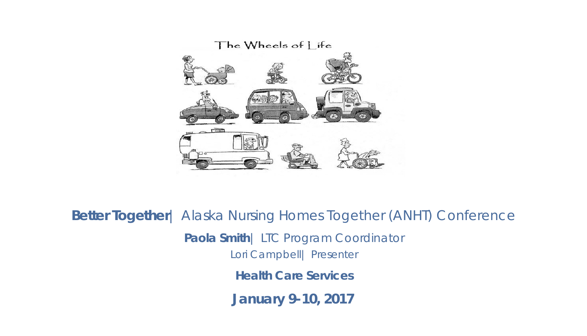

**Better Together**| Alaska Nursing Homes Together (ANHT) Conference **January 9-10, 2017 Paola Smith**| LTC Program Coordinator Lori Campbell| Presenter **Health Care Services**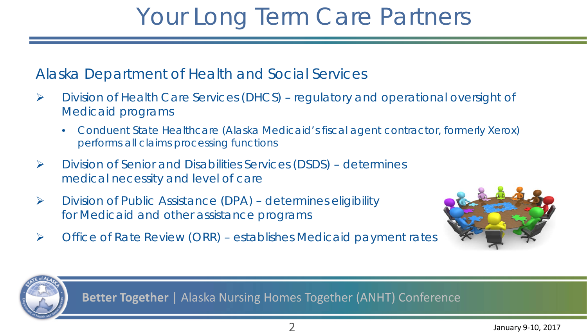### Your Long Term Care Partners

#### Alaska Department of Health and Social Services

- Division of Health Care Services (DHCS) regulatory and operational oversight of Medicaid programs
	- Conduent State Healthcare (Alaska Medicaid's fiscal agent contractor, formerly Xerox) performs all claims processing functions
- Division of Senior and Disabilities Services (DSDS) determines medical necessity and level of care
- $\triangleright$  Division of Public Assistance (DPA) determines eligibility for Medicaid and other assistance programs
- $\triangleright$  Office of Rate Review (ORR) establishes Medicaid payment rates



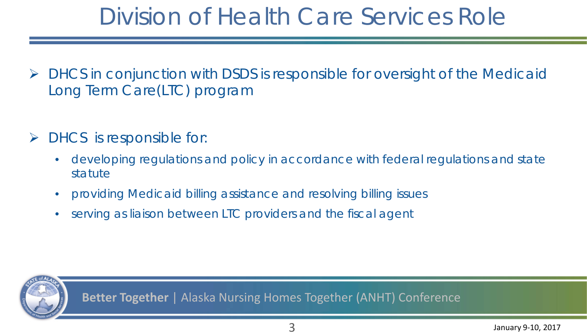### Division of Health Care Services Role

- $\triangleright$  DHCS in conjunction with DSDS is responsible for oversight of the Medicaid Long Term Care(LTC) program
- $\triangleright$  DHCS is responsible for:
	- developing regulations and policy in accordance with federal regulations and state statute
	- providing Medicaid billing assistance and resolving billing issues
	- serving as liaison between LTC providers and the fiscal agent

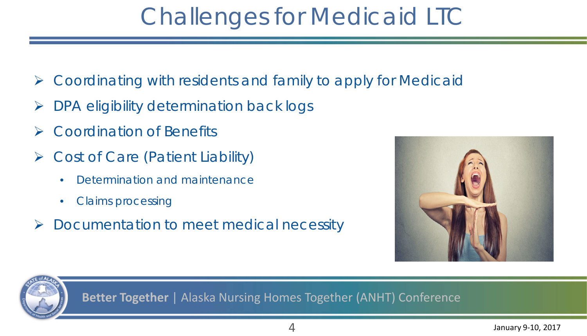### Challenges for Medicaid LTC

- Coordinating with residents and family to apply for Medicaid
- DPA eligibility determination back logs
- Coordination of Benefits
- Cost of Care (Patient Liability)
	- Determination and maintenance
	- Claims processing
- Documentation to meet medical necessity



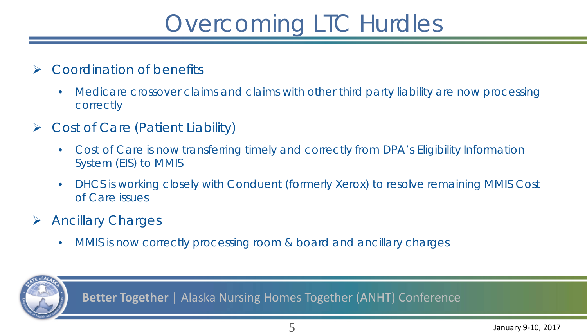## Overcoming LTC Hurdles

#### **► Coordination of benefits**

- Medicare crossover claims and claims with other third party liability are now processing correctly
- Cost of Care (Patient Liability)
	- Cost of Care is now transferring timely and correctly from DPA's Eligibility Information System (EIS) to MMIS
	- DHCS is working closely with Conduent (formerly Xerox) to resolve remaining MMIS Cost of Care issues
- $\triangleright$  Ancillary Charges
	- MMIS is now correctly processing room & board and ancillary charges

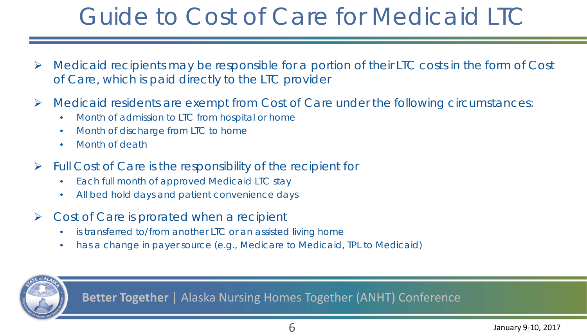## Guide to Cost of Care for Medicaid LTC

- $\triangleright$  Medicaid recipients may be responsible for a portion of their LTC costs in the form of Cost of Care, which is paid directly to the LTC provider
- $\triangleright$  Medicaid residents are exempt from Cost of Care under the following circumstances:
	- Month of admission to LTC from hospital or home
	- Month of discharge from LTC to home
	- Month of death
- $\triangleright$  Full Cost of Care is the responsibility of the recipient for
	- Each full month of approved Medicaid LTC stay
	- All bed hold days and patient convenience days
- $\triangleright$  Cost of Care is prorated when a recipient
	- is transferred to/from another LTC or an assisted living home
	- has a change in payer source (e.g., Medicare to Medicaid, TPL to Medicaid)

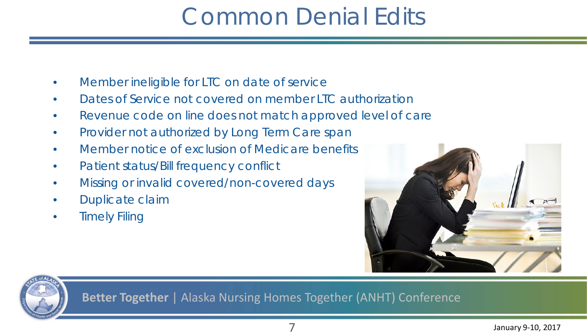## Common Denial Edits

- Member ineligible for LTC on date of service
- Dates of Service not covered on member LTC authorization
- Revenue code on line does not match approved level of care
- Provider not authorized by Long Term Care span
- Member notice of exclusion of Medicare benefits
- Patient status/Bill frequency conflict
- Missing or invalid covered/non-covered days
- Duplicate claim
- **Timely Filing**



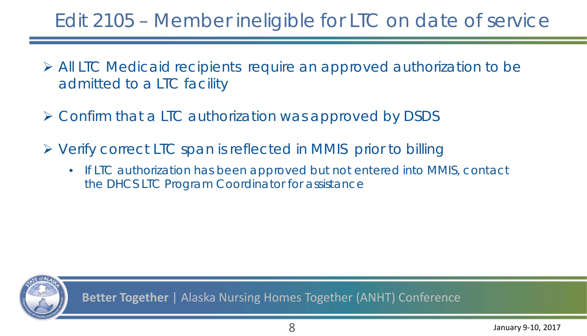### Edit 2105 – Member ineligible for LTC on date of service

- All LTC Medicaid recipients require an approved authorization to be admitted to a LTC facility
- Confirm that a LTC authorization was approved by DSDS
- Verify correct LTC span is reflected in MMIS prior to billing
	- If LTC authorization has been approved but not entered into MMIS, contact the DHCS LTC Program Coordinator for assistance

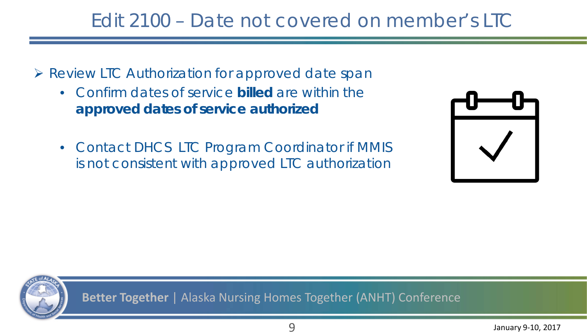### Edit 2100 – Date not covered on member's LTC

- ▶ Review LTC Authorization for approved date span
	- Confirm dates of service **billed** are within the **approved dates of service authorized**
	- Contact DHCS LTC Program Coordinator if MMIS is not consistent with approved LTC authorization



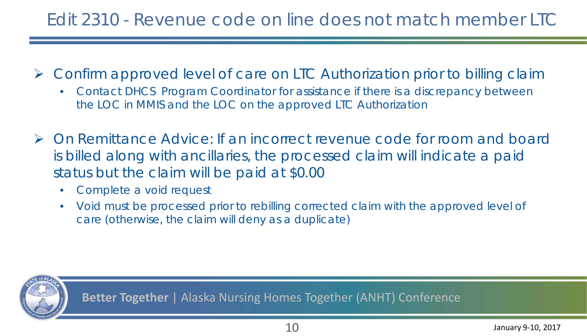#### Edit 2310 - Revenue code on line does not match member LTC

- Confirm approved level of care on LTC Authorization prior to billing claim
	- Contact DHCS Program Coordinator for assistance if there is a discrepancy between the LOC in MMIS and the LOC on the approved LTC Authorization
- ▶ On Remittance Advice: If an incorrect revenue code for room and board is billed along with ancillaries, the processed claim will indicate a paid status but the claim will be paid at \$0.00
	- Complete a void request
	- Void must be processed prior to rebilling corrected claim with the approved level of care (otherwise, the claim will deny as a duplicate)

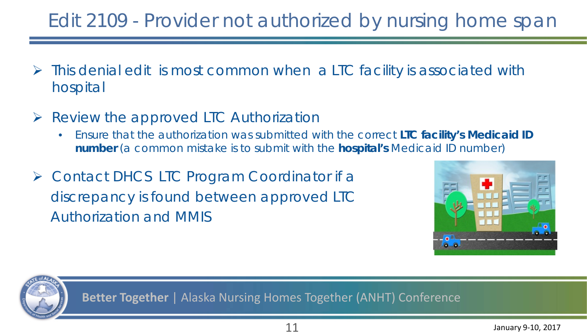### Edit 2109 - Provider not authorized by nursing home span

- This denial edit is most common when a LTC facility is associated with hospital
- $\triangleright$  Review the approved LTC Authorization
	- Ensure that the authorization was submitted with the correct **LTC facility's Medicaid ID number** (*a common mistake is to submit with the hospital's Medicaid ID number*)
- ▶ Contact DHCS LTC Program Coordinator if a discrepancy is found between approved LTC Authorization and MMIS



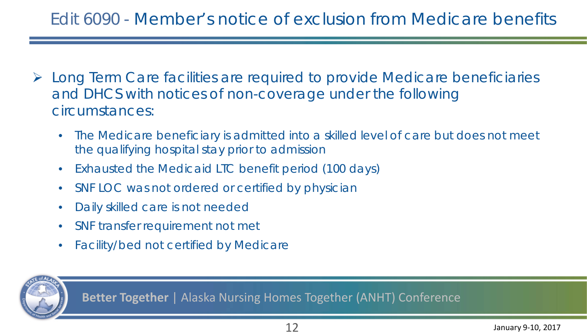#### Edit 6090 - Member's notice of exclusion from Medicare benefits

- Long Term Care facilities are required to provide Medicare beneficiaries and DHCS with notices of non-coverage under the following circumstances:
	- The Medicare beneficiary is admitted into a skilled level of care but does not meet the qualifying hospital stay prior to admission
	- Exhausted the Medicaid LTC benefit period (100 days)
	- SNF LOC was not ordered or certified by physician
	- Daily skilled care is not needed
	- SNF transfer requirement not met
	- Facility/bed not certified by Medicare

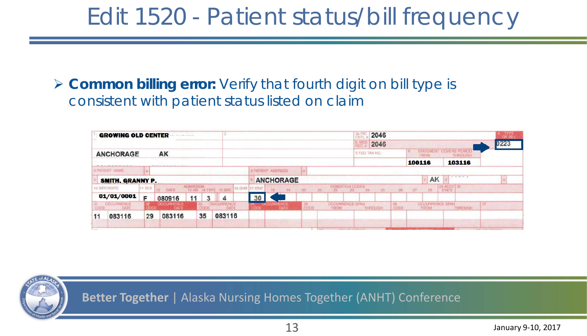### Edit 1520 - Patient status/bill frequency

 **Common billing error:** Verify that fourth digit on bill type is consistent with patient status listed on claim

|                  | GROWING OLD CENTER               |         |                           |                  |    |                                     |      |                                 |                  | $rac{3n}{CN}$<br>2046 |          |                          |               |                |            |        |                                 |                            |      |
|------------------|----------------------------------|---------|---------------------------|------------------|----|-------------------------------------|------|---------------------------------|------------------|-----------------------|----------|--------------------------|---------------|----------------|------------|--------|---------------------------------|----------------------------|------|
|                  |                                  |         |                           |                  |    |                                     |      |                                 |                  |                       |          |                          |               | 2046           |            |        |                                 |                            | )223 |
| <b>ANCHORAGE</b> |                                  |         | AK                        |                  |    |                                     |      |                                 |                  |                       |          |                          |               | 5 FED. TAX NO. |            |        | STATEMENT COVERS PERIOD<br>FROM |                            |      |
|                  |                                  |         |                           |                  |    |                                     |      |                                 |                  |                       |          |                          |               |                |            | 100116 |                                 | 103116                     |      |
|                  | <b>8 PATIENT NAME</b>            |         |                           |                  |    |                                     |      | <b><i>G PATIENT ADDRESS</i></b> |                  |                       |          |                          |               |                |            |        |                                 |                            |      |
|                  | SMITH, GRANNY P.                 |         |                           |                  |    |                                     |      |                                 | <b>ANCHORAGE</b> |                       |          |                          |               |                |            |        | AK                              | $\sigma$ in matrix         |      |
|                  | 10 BIRTHDATE                     | 11 SEX: | 12 DATE                   | <b>ADMISSION</b> |    | 13 HR 34 TYPE 15 SRC 16 DHR 17 STAT |      | $18 - 19$                       |                  | $-20$                 | $-121 -$ | CONDITION CODES<br>$-22$ | $-24$<br>23.5 | 25             | $26 \t 27$ |        | 28                              | 29 ACDT 30<br><b>STATE</b> |      |
|                  | 01/01/0001                       | Е       | 080916                    | 11               | 3  | 4                                   | 30   |                                 |                  |                       |          |                          |               |                |            |        |                                 |                            |      |
| CODE             | <b>OCCURRENCE</b><br><b>DATE</b> |         | <b>OCCURRENCE</b><br>DATE |                  |    | OCCURRENCE<br>DATE                  | CODE |                                 | <b>DATE</b>      | 35<br>CODE            |          | OCCURRENCE SPAN<br>FROM  |               | <b>THROUGH</b> | CODE       |        | <b>OCCURRENCE SPAN</b><br>FROM  | THROUGH                    | 37   |
| 11               | 083116                           | 29      | 083116                    |                  | 35 | 083116                              |      |                                 |                  |                       |          |                          |               |                |            |        |                                 |                            |      |
|                  |                                  |         |                           |                  |    |                                     |      |                                 |                  |                       |          |                          |               |                |            |        |                                 |                            |      |

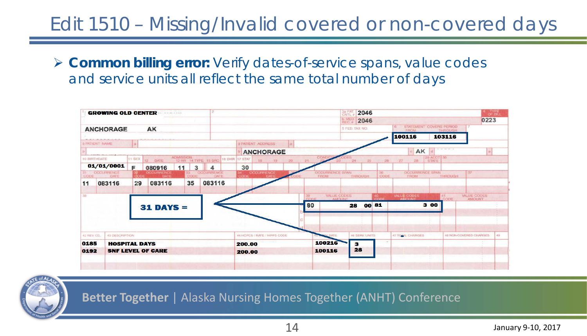### Edit 1510 – Missing/Invalid covered or non-covered days

 **Common billing error:** Verify dates-of-service spans, value codes and service units all reflect the same total number of days



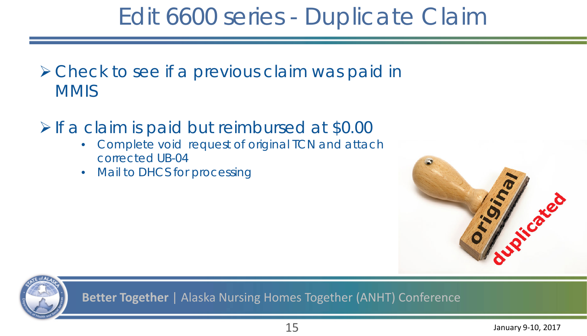### Edit 6600 series - Duplicate Claim

**≻ Check to see if a previous claim was paid in MMIS** 

 $\triangleright$  If a claim is paid but reimbursed at \$0.00

- Complete void request of original TCN and attach corrected UB-04
- Mail to DHCS for processing



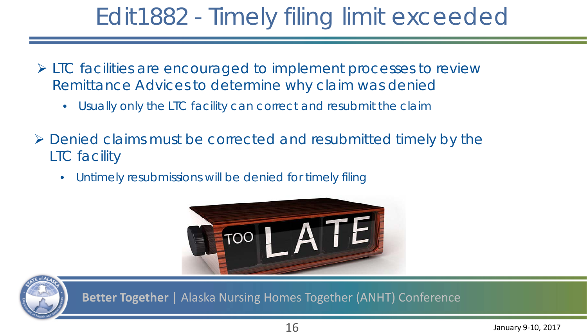## Edit1882 - Timely filing limit exceeded

- LTC facilities are encouraged to implement processes to review Remittance Advices to determine why claim was denied
	- Usually only the LTC facility can correct and resubmit the claim
- $\triangleright$  Denied claims must be corrected and resubmitted timely by the LTC facility
	- Untimely resubmissions will be denied for timely filing